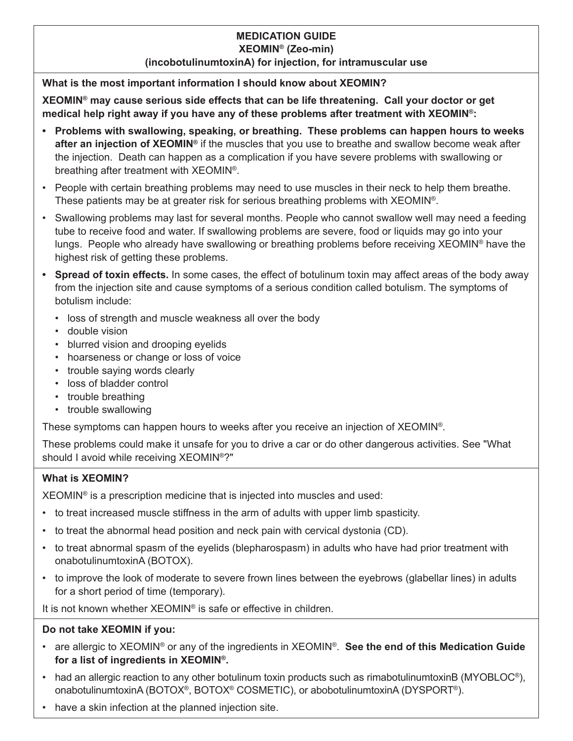#### **MEDICATION GUIDE XEOMIN® (Zeo-min) (incobotulinumtoxinA) for injection, for intramuscular use**

#### **What is the most important information I should know about XEOMIN?**

**XEOMIN® may cause serious side effects that can be life threatening. Call your doctor or get medical help right away if you have any of these problems after treatment with XEOMIN®:**

- **• Problems with swallowing, speaking, or breathing. These problems can happen hours to weeks after an injection of XEOMIN®** if the muscles that you use to breathe and swallow become weak after the injection. Death can happen as a complication if you have severe problems with swallowing or breathing after treatment with XEOMIN®.
- People with certain breathing problems may need to use muscles in their neck to help them breathe. These patients may be at greater risk for serious breathing problems with XEOMIN®.
- Swallowing problems may last for several months. People who cannot swallow well may need a feeding tube to receive food and water. If swallowing problems are severe, food or liquids may go into your lungs. People who already have swallowing or breathing problems before receiving XEOMIN® have the highest risk of getting these problems.
- **• Spread of toxin effects.** In some cases, the effect of botulinum toxin may affect areas of the body away from the injection site and cause symptoms of a serious condition called botulism. The symptoms of botulism include:
	- loss of strength and muscle weakness all over the body
	- double vision
	- blurred vision and drooping eyelids
	- hoarseness or change or loss of voice
	- trouble saying words clearly
	- loss of bladder control
	- trouble breathing
	- trouble swallowing

These symptoms can happen hours to weeks after you receive an injection of XEOMIN®.

These problems could make it unsafe for you to drive a car or do other dangerous activities. See "What should I avoid while receiving XEOMIN®?"

## **What is XEOMIN?**

XEOMIN® is a prescription medicine that is injected into muscles and used:

- to treat increased muscle stiffness in the arm of adults with upper limb spasticity.
- to treat the abnormal head position and neck pain with cervical dystonia (CD).
- to treat abnormal spasm of the eyelids (blepharospasm) in adults who have had prior treatment with onabotulinumtoxinA (BOTOX).
- to improve the look of moderate to severe frown lines between the eyebrows (glabellar lines) in adults for a short period of time (temporary).

It is not known whether XEOMIN<sup>®</sup> is safe or effective in children.

#### **Do not take XEOMIN if you:**

- are allergic to XEOMIN® or any of the ingredients in XEOMIN®. **See the end of this Medication Guide for a list of ingredients in XEOMIN®.**
- had an allergic reaction to any other botulinum toxin products such as rimabotulinumtoxinB (MYOBLOC®), onabotulinumtoxinA (BOTOX®, BOTOX® COSMETIC), or abobotulinumtoxinA (DYSPORT®).
- have a skin infection at the planned injection site.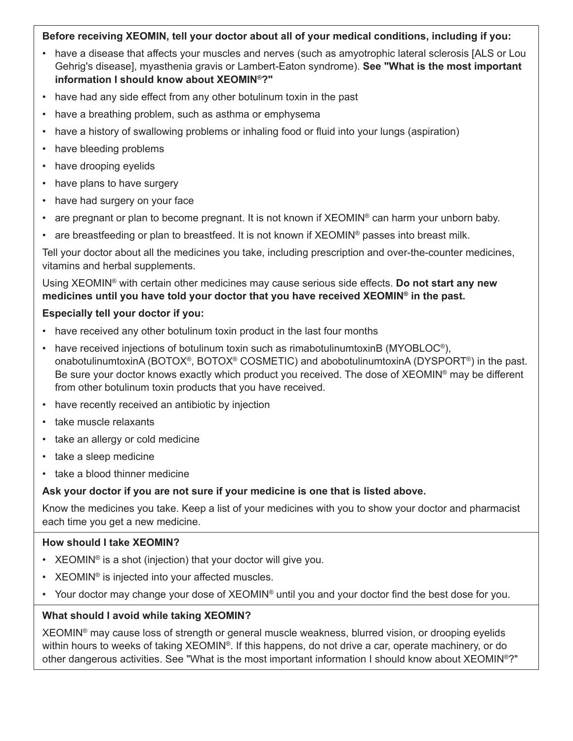#### **Before receiving XEOMIN, tell your doctor about all of your medical conditions, including if you:**

- have a disease that affects your muscles and nerves (such as amyotrophic lateral sclerosis [ALS or Lou Gehrig's disease], myasthenia gravis or Lambert-Eaton syndrome). **See "What is the most important information I should know about XEOMIN®?"**
- have had any side effect from any other botulinum toxin in the past
- have a breathing problem, such as asthma or emphysema
- have a history of swallowing problems or inhaling food or fluid into your lungs (aspiration)
- have bleeding problems
- have drooping eyelids
- have plans to have surgery
- have had surgery on your face
- are pregnant or plan to become pregnant. It is not known if XEOMIN® can harm your unborn baby.
- are breastfeeding or plan to breastfeed. It is not known if XEOMIN® passes into breast milk.

Tell your doctor about all the medicines you take, including prescription and over-the-counter medicines, vitamins and herbal supplements.

Using XEOMIN® with certain other medicines may cause serious side effects. **Do not start any new medicines until you have told your doctor that you have received XEOMIN® in the past.**

### **Especially tell your doctor if you:**

- have received any other botulinum toxin product in the last four months
- have received injections of botulinum toxin such as rimabotulinumtoxinB (MYOBLOC®), onabotulinumtoxinA (BOTOX®, BOTOX® COSMETIC) and abobotulinumtoxinA (DYSPORT®) in the past. Be sure your doctor knows exactly which product you received. The dose of XEOMIN<sup>®</sup> may be different from other botulinum toxin products that you have received.
- have recently received an antibiotic by injection
- take muscle relaxants
- take an allergy or cold medicine
- take a sleep medicine
- take a blood thinner medicine

## **Ask your doctor if you are not sure if your medicine is one that is listed above.**

Know the medicines you take. Keep a list of your medicines with you to show your doctor and pharmacist each time you get a new medicine.

## **How should I take XEOMIN?**

- XEOMIN<sup>®</sup> is a shot (injection) that your doctor will give you.
- XEOMIN<sup>®</sup> is injected into your affected muscles.
- Your doctor may change your dose of XEOMIN<sup>®</sup> until you and your doctor find the best dose for you.

## **What should I avoid while taking XEOMIN?**

XEOMIN® may cause loss of strength or general muscle weakness, blurred vision, or drooping eyelids within hours to weeks of taking XEOMIN®. If this happens, do not drive a car, operate machinery, or do other dangerous activities. See "What is the most important information I should know about XEOMIN®?"